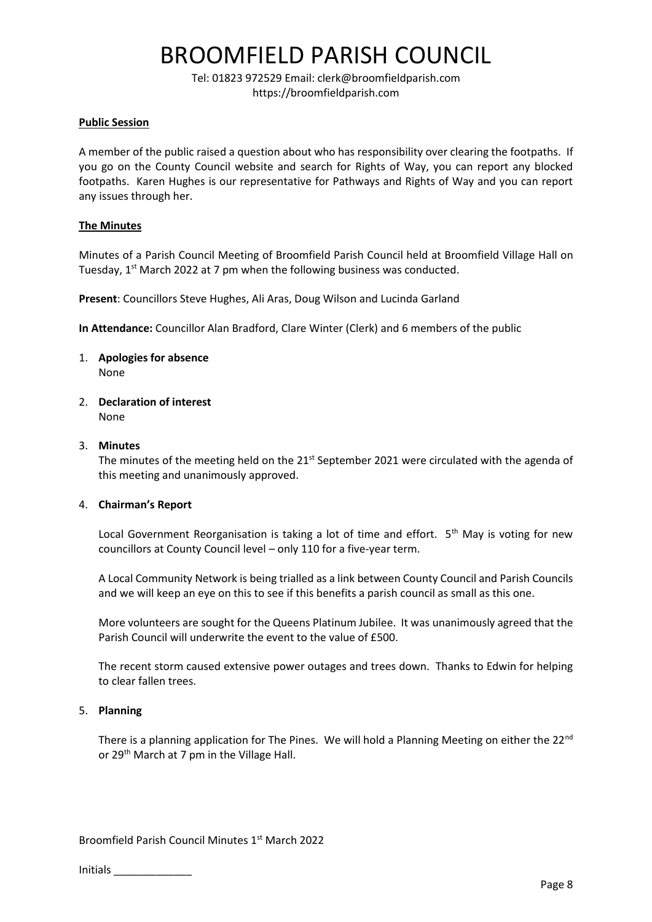# BROOMFIELD PARISH COUNCIL

Tel: 01823 972529 Email: clerk@broomfieldparish.com https://broomfieldparish.com

#### **Public Session**

A member of the public raised a question about who has responsibility over clearing the footpaths. If you go on the County Council website and search for Rights of Way, you can report any blocked footpaths. Karen Hughes is our representative for Pathways and Rights of Way and you can report any issues through her.

#### **The Minutes**

Minutes of a Parish Council Meeting of Broomfield Parish Council held at Broomfield Village Hall on Tuesday, 1<sup>st</sup> March 2022 at 7 pm when the following business was conducted.

**Present**: Councillors Steve Hughes, Ali Aras, Doug Wilson and Lucinda Garland

**In Attendance:** Councillor Alan Bradford, Clare Winter (Clerk) and 6 members of the public

- 1. **Apologies for absence** None
- 2. **Declaration of interest** None

#### 3. **Minutes**

The minutes of the meeting held on the 21<sup>st</sup> September 2021 were circulated with the agenda of this meeting and unanimously approved.

#### 4. **Chairman's Report**

Local Government Reorganisation is taking a lot of time and effort.  $5<sup>th</sup>$  May is voting for new councillors at County Council level – only 110 for a five-year term.

A Local Community Network is being trialled as a link between County Council and Parish Councils and we will keep an eye on this to see if this benefits a parish council as small as this one.

More volunteers are sought for the Queens Platinum Jubilee. It was unanimously agreed that the Parish Council will underwrite the event to the value of £500.

The recent storm caused extensive power outages and trees down. Thanks to Edwin for helping to clear fallen trees.

#### 5. **Planning**

There is a planning application for The Pines. We will hold a Planning Meeting on either the  $22^{nd}$ or 29<sup>th</sup> March at 7 pm in the Village Hall.

Broomfield Parish Council Minutes 1st March 2022

| <b>Initials</b> |  |  |
|-----------------|--|--|
|                 |  |  |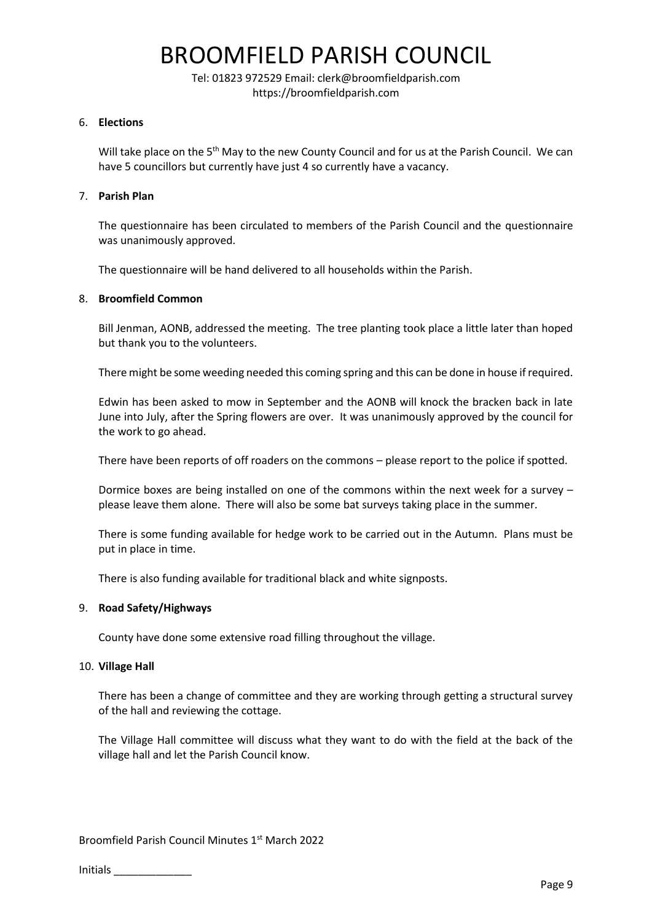# BROOMFIELD PARISH COUNCIL

Tel: 01823 972529 Email: clerk@broomfieldparish.com https://broomfieldparish.com

#### 6. **Elections**

Will take place on the 5<sup>th</sup> May to the new County Council and for us at the Parish Council. We can have 5 councillors but currently have just 4 so currently have a vacancy.

#### 7. **Parish Plan**

The questionnaire has been circulated to members of the Parish Council and the questionnaire was unanimously approved.

The questionnaire will be hand delivered to all households within the Parish.

#### 8. **Broomfield Common**

Bill Jenman, AONB, addressed the meeting. The tree planting took place a little later than hoped but thank you to the volunteers.

There might be some weeding needed this coming spring and this can be done in house if required.

Edwin has been asked to mow in September and the AONB will knock the bracken back in late June into July, after the Spring flowers are over. It was unanimously approved by the council for the work to go ahead.

There have been reports of off roaders on the commons – please report to the police if spotted.

Dormice boxes are being installed on one of the commons within the next week for a survey – please leave them alone. There will also be some bat surveys taking place in the summer.

There is some funding available for hedge work to be carried out in the Autumn. Plans must be put in place in time.

There is also funding available for traditional black and white signposts.

#### 9. **Road Safety/Highways**

County have done some extensive road filling throughout the village.

#### 10. **Village Hall**

There has been a change of committee and they are working through getting a structural survey of the hall and reviewing the cottage.

The Village Hall committee will discuss what they want to do with the field at the back of the village hall and let the Parish Council know.

Broomfield Parish Council Minutes 1st March 2022